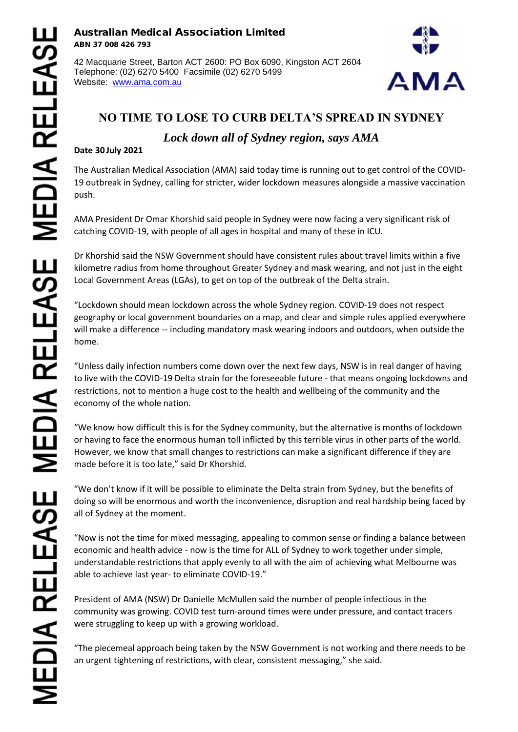**Australian Medical Association Limited ABN 37 008 426 793**

42 Macquarie Street, Barton ACT 2600: PO Box 6090, Kingston ACT 2604 Telephone: (02) 6270 5400 Facsimile (02) 6270 5499 Website: www.ama.com.au



## **NO TIME TO LOSE TO CURB DELTA'S SPREAD IN SYDNEY**

## *Lock down all of Sydney region, says AMA*

## **Date 30 July 2021**

The Australian Medical Association (AMA) said today time is running out to get control of the COVID- 19 outbreak in Sydney, calling for stricter, wider lockdown measures alongside a massive vaccination push.

AMA President Dr Omar Khorshid said people in Sydney were now facing a very significant risk of catching COVID-19, with people of all ages in hospital and many of these in ICU.

Dr Khorshid said the NSW Government should have consistent rules about travel limits within a five kilometre radius from home throughout Greater Sydney and mask wearing, and not just in the eight Local Government Areas (LGAs), to get on top of the outbreak of the Delta strain.

"Lockdown should mean lockdown across the whole Sydney region. COVID-19 does not respect geography or local government boundaries on a map, and clear and simple rules applied everywhere will make a difference -- including mandatory mask wearing indoors and outdoors, when outside the home.

"Unless daily infection numbers come down over the next few days, NSW is in real danger of having to live with the COVID-19 Delta strain for the foreseeable future - that means ongoing lockdowns and restrictions, not to mention a huge cost to the health and wellbeing of the community and the economy of the whole nation.

"We know how difficult this is for the Sydney community, but the alternative is months of lockdown or having to face the enormous human toll inflicted by this terrible virus in other parts of the world. However, we know that small changes to restrictions can make a significant difference if they are made before it is too late," said Dr Khorshid.

"We don't know if it will be possible to eliminate the Delta strain from Sydney, but the benefits of doing so will be enormous and worth the inconvenience, disruption and real hardship being faced by all of Sydney at the moment.

"Now is not the time for mixed messaging, appealing to common sense or finding a balance between economic and health advice - now is the time for ALL of Sydney to work together under simple, understandable restrictions that apply evenly to all with the aim of achieving what Melbourne was able to achieve last year- to eliminate COVID-19."

President of AMA (NSW) Dr Danielle McMullen said the number of people infectious in the community was growing. COVID test turn-around times were under pressure, and contact tracers were struggling to keep up with a growing workload.

"The piecemeal approach being taken by the NSW Government is not working and there needs to be an urgent tightening of restrictions, with clear, consistent messaging," she said.